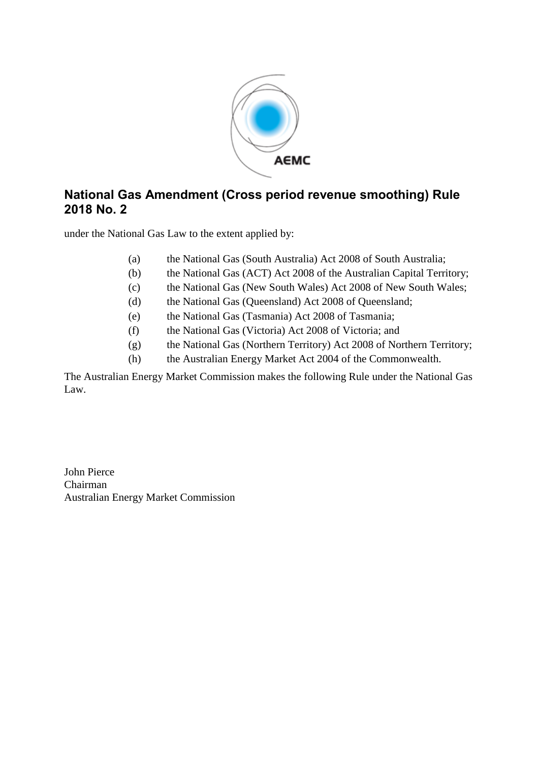

# **National Gas Amendment (Cross period revenue smoothing) Rule 2018 No. 2**

under the National Gas Law to the extent applied by:

- (a) the National Gas (South Australia) Act 2008 of South Australia;
- (b) the National Gas (ACT) Act 2008 of the Australian Capital Territory;
- (c) the National Gas (New South Wales) Act 2008 of New South Wales;
- (d) the National Gas (Queensland) Act 2008 of Queensland;
- (e) the National Gas (Tasmania) Act 2008 of Tasmania;
- (f) the National Gas (Victoria) Act 2008 of Victoria; and
- (g) the National Gas (Northern Territory) Act 2008 of Northern Territory;
- (h) the Australian Energy Market Act 2004 of the Commonwealth.

The Australian Energy Market Commission makes the following Rule under the National Gas Law.

John Pierce Chairman Australian Energy Market Commission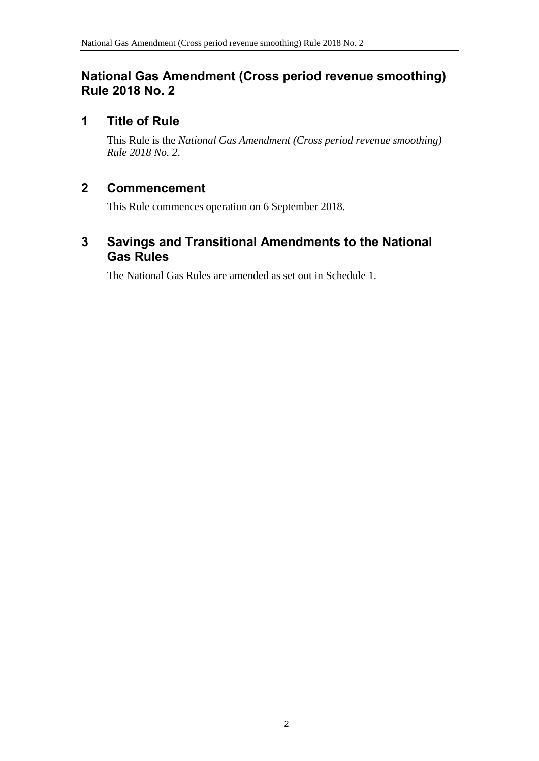## **National Gas Amendment (Cross period revenue smoothing) Rule 2018 No. 2**

# **1 Title of Rule**

This Rule is the *National Gas Amendment (Cross period revenue smoothing) Rule 2018 No. 2*.

# **2 Commencement**

This Rule commences operation on 6 September 2018.

# <span id="page-1-0"></span>**3 Savings and Transitional Amendments to the National Gas Rules**

The National Gas Rules are amended as set out in [Schedule 1.](#page-2-0)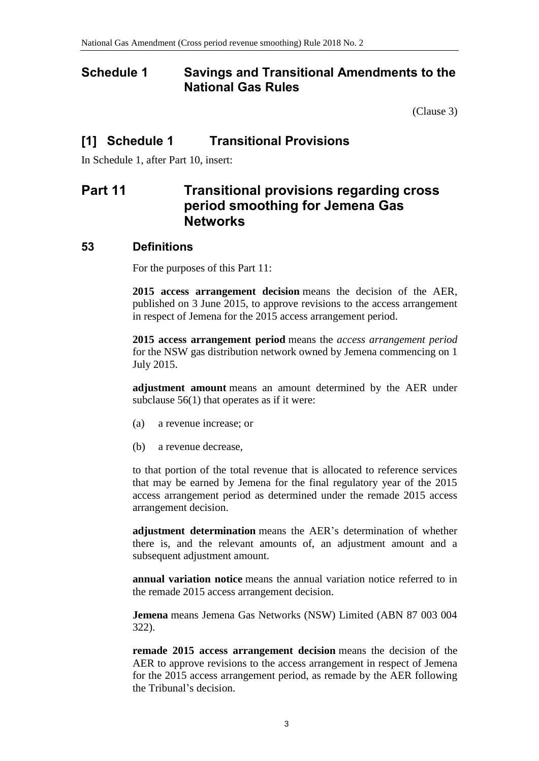### <span id="page-2-0"></span>**Schedule 1 Savings and Transitional Amendments to the National Gas Rules**

[\(Clause](#page-1-0) 3)

### **[1] Schedule 1 Transitional Provisions**

In Schedule 1, after Part 10, insert:

# **Part 11 Transitional provisions regarding cross period smoothing for Jemena Gas Networks**

#### **53 Definitions**

For the purposes of this Part 11:

**2015 access arrangement decision** means the decision of the AER, published on 3 June 2015, to approve revisions to the access arrangement in respect of Jemena for the 2015 access arrangement period.

**2015 access arrangement period** means the *access arrangement period* for the NSW gas distribution network owned by Jemena commencing on 1 July 2015.

**adjustment amount** means an amount determined by the AER under subclause  $56(1)$  that operates as if it were:

- (a) a revenue increase; or
- (b) a revenue decrease,

to that portion of the total revenue that is allocated to reference services that may be earned by Jemena for the final regulatory year of the 2015 access arrangement period as determined under the remade 2015 access arrangement decision.

**adjustment determination** means the AER's determination of whether there is, and the relevant amounts of, an adjustment amount and a subsequent adjustment amount.

**annual variation notice** means the annual variation notice referred to in the remade 2015 access arrangement decision.

**Jemena** means Jemena Gas Networks (NSW) Limited (ABN 87 003 004 322).

**remade 2015 access arrangement decision** means the decision of the AER to approve revisions to the access arrangement in respect of Jemena for the 2015 access arrangement period, as remade by the AER following the Tribunal's decision.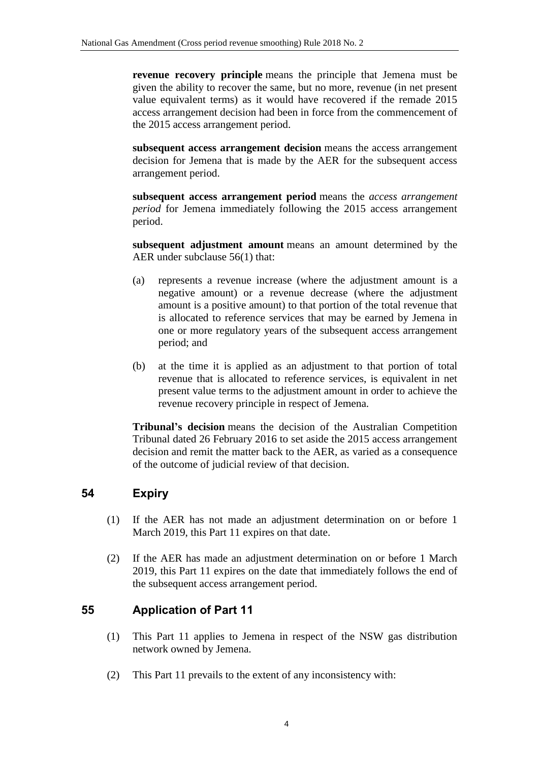**revenue recovery principle** means the principle that Jemena must be given the ability to recover the same, but no more, revenue (in net present value equivalent terms) as it would have recovered if the remade 2015 access arrangement decision had been in force from the commencement of the 2015 access arrangement period.

**subsequent access arrangement decision** means the access arrangement decision for Jemena that is made by the AER for the subsequent access arrangement period.

**subsequent access arrangement period** means the *access arrangement period* for Jemena immediately following the 2015 access arrangement period.

**subsequent adjustment amount** means an amount determined by the AER under subclause 56(1) that:

- (a) represents a revenue increase (where the adjustment amount is a negative amount) or a revenue decrease (where the adjustment amount is a positive amount) to that portion of the total revenue that is allocated to reference services that may be earned by Jemena in one or more regulatory years of the subsequent access arrangement period; and
- (b) at the time it is applied as an adjustment to that portion of total revenue that is allocated to reference services, is equivalent in net present value terms to the adjustment amount in order to achieve the revenue recovery principle in respect of Jemena.

**Tribunal's decision** means the decision of the Australian Competition Tribunal dated 26 February 2016 to set aside the 2015 access arrangement decision and remit the matter back to the AER, as varied as a consequence of the outcome of judicial review of that decision.

#### **54 Expiry**

- (1) If the AER has not made an adjustment determination on or before 1 March 2019, this Part 11 expires on that date.
- (2) If the AER has made an adjustment determination on or before 1 March 2019, this Part 11 expires on the date that immediately follows the end of the subsequent access arrangement period.

#### **55 Application of Part 11**

- (1) This Part 11 applies to Jemena in respect of the NSW gas distribution network owned by Jemena.
- (2) This Part 11 prevails to the extent of any inconsistency with: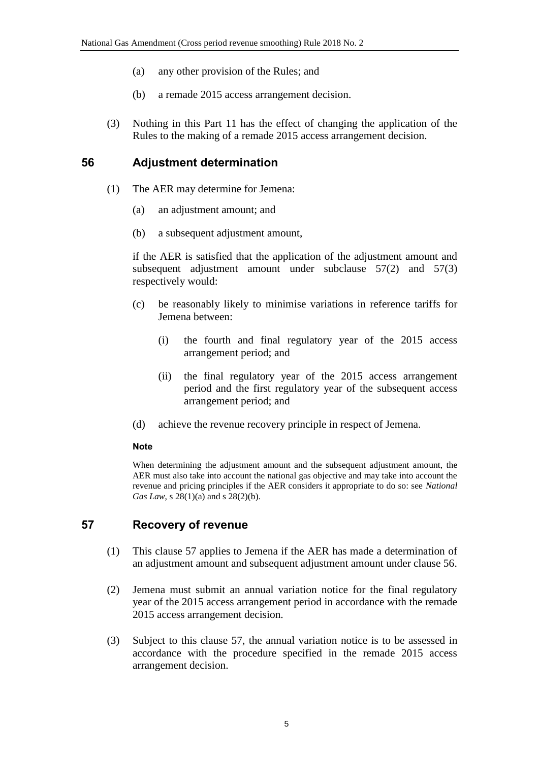- (a) any other provision of the Rules; and
- (b) a remade 2015 access arrangement decision.
- (3) Nothing in this Part 11 has the effect of changing the application of the Rules to the making of a remade 2015 access arrangement decision.

#### **56 Adjustment determination**

- (1) The AER may determine for Jemena:
	- (a) an adjustment amount; and
	- (b) a subsequent adjustment amount,

if the AER is satisfied that the application of the adjustment amount and subsequent adjustment amount under subclause 57(2) and 57(3) respectively would:

- (c) be reasonably likely to minimise variations in reference tariffs for Jemena between:
	- (i) the fourth and final regulatory year of the 2015 access arrangement period; and
	- (ii) the final regulatory year of the 2015 access arrangement period and the first regulatory year of the subsequent access arrangement period; and
- (d) achieve the revenue recovery principle in respect of Jemena.

#### **Note**

When determining the adjustment amount and the subsequent adjustment amount, the AER must also take into account the national gas objective and may take into account the revenue and pricing principles if the AER considers it appropriate to do so: see *National Gas Law*, *s* 28(1)(*a*) and *s* 28(2)(*b*).

#### **57 Recovery of revenue**

- (1) This clause 57 applies to Jemena if the AER has made a determination of an adjustment amount and subsequent adjustment amount under clause 56.
- (2) Jemena must submit an annual variation notice for the final regulatory year of the 2015 access arrangement period in accordance with the remade 2015 access arrangement decision.
- (3) Subject to this clause 57, the annual variation notice is to be assessed in accordance with the procedure specified in the remade 2015 access arrangement decision.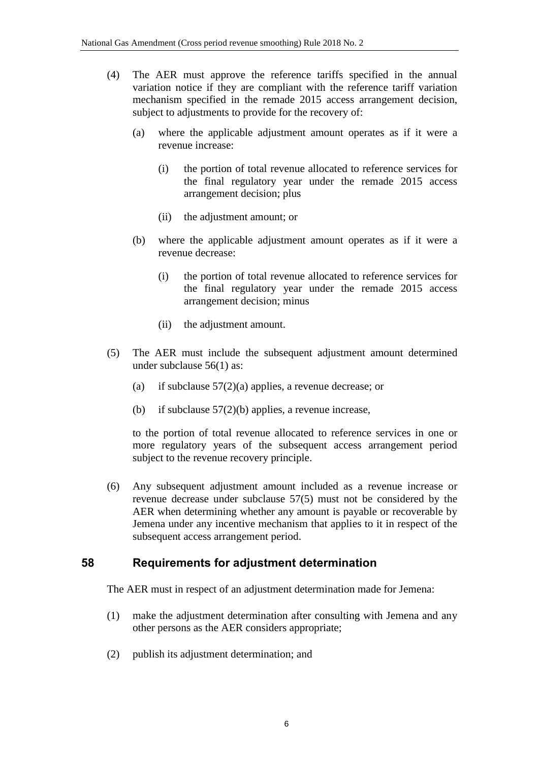- (4) The AER must approve the reference tariffs specified in the annual variation notice if they are compliant with the reference tariff variation mechanism specified in the remade 2015 access arrangement decision, subject to adjustments to provide for the recovery of:
	- (a) where the applicable adjustment amount operates as if it were a revenue increase:
		- (i) the portion of total revenue allocated to reference services for the final regulatory year under the remade 2015 access arrangement decision; plus
		- (ii) the adjustment amount; or
	- (b) where the applicable adjustment amount operates as if it were a revenue decrease:
		- (i) the portion of total revenue allocated to reference services for the final regulatory year under the remade 2015 access arrangement decision; minus
		- (ii) the adjustment amount.
- (5) The AER must include the subsequent adjustment amount determined under subclause 56(1) as:
	- (a) if subclause  $57(2)(a)$  applies, a revenue decrease; or
	- (b) if subclause  $57(2)(b)$  applies, a revenue increase,

to the portion of total revenue allocated to reference services in one or more regulatory years of the subsequent access arrangement period subject to the revenue recovery principle.

(6) Any subsequent adjustment amount included as a revenue increase or revenue decrease under subclause 57(5) must not be considered by the AER when determining whether any amount is payable or recoverable by Jemena under any incentive mechanism that applies to it in respect of the subsequent access arrangement period.

#### **58 Requirements for adjustment determination**

The AER must in respect of an adjustment determination made for Jemena:

- (1) make the adjustment determination after consulting with Jemena and any other persons as the AER considers appropriate;
- (2) publish its adjustment determination; and